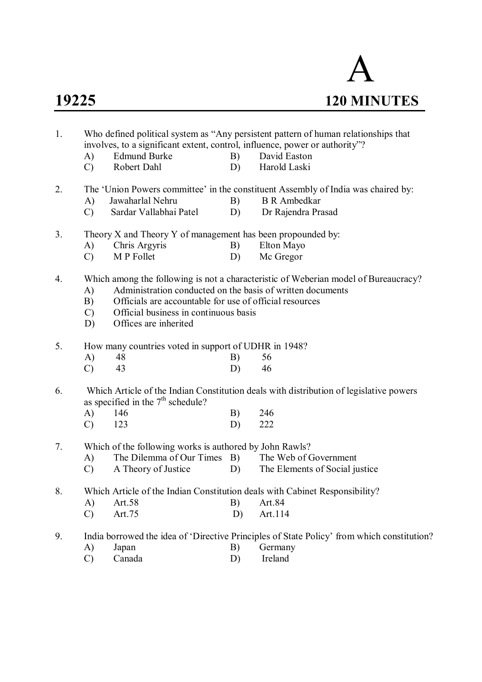

| 1. | A)                                                   | involves, to a significant extent, control, influence, power or authority"?<br><b>Edmund Burke</b>                                                                                      | B) | Who defined political system as "Any persistent pattern of human relationships that<br>David Easton      |  |  |  |  |  |  |
|----|------------------------------------------------------|-----------------------------------------------------------------------------------------------------------------------------------------------------------------------------------------|----|----------------------------------------------------------------------------------------------------------|--|--|--|--|--|--|
|    | $\mathcal{C}$                                        | Robert Dahl                                                                                                                                                                             | D) | Harold Laski                                                                                             |  |  |  |  |  |  |
|    |                                                      |                                                                                                                                                                                         |    |                                                                                                          |  |  |  |  |  |  |
| 2. | A)                                                   | Jawaharlal Nehru                                                                                                                                                                        | B) | The 'Union Powers committee' in the constituent Assembly of India was chaired by:<br><b>B</b> R Ambedkar |  |  |  |  |  |  |
|    | $\mathcal{C}$                                        | Sardar Vallabhai Patel                                                                                                                                                                  | D) | Dr Rajendra Prasad                                                                                       |  |  |  |  |  |  |
|    |                                                      |                                                                                                                                                                                         |    |                                                                                                          |  |  |  |  |  |  |
| 3. |                                                      | Theory X and Theory Y of management has been propounded by:                                                                                                                             |    |                                                                                                          |  |  |  |  |  |  |
|    | A)                                                   | Chris Argyris                                                                                                                                                                           | B) | Elton Mayo                                                                                               |  |  |  |  |  |  |
|    | $\mathcal{C}$                                        | M P Follet                                                                                                                                                                              | D) | Mc Gregor                                                                                                |  |  |  |  |  |  |
| 4. | A)<br>B)<br>$\mathcal{C}$<br>D)                      | Administration conducted on the basis of written documents<br>Officials are accountable for use of official resources<br>Official business in continuous basis<br>Offices are inherited |    | Which among the following is not a characteristic of Weberian model of Bureaucracy?                      |  |  |  |  |  |  |
| 5. | How many countries voted in support of UDHR in 1948? |                                                                                                                                                                                         |    |                                                                                                          |  |  |  |  |  |  |
|    | A)                                                   | 48                                                                                                                                                                                      | B) | 56                                                                                                       |  |  |  |  |  |  |
|    | $\mathcal{C}$                                        | 43                                                                                                                                                                                      | D) | 46                                                                                                       |  |  |  |  |  |  |
| 6. |                                                      | as specified in the $7th$ schedule?                                                                                                                                                     |    | Which Article of the Indian Constitution deals with distribution of legislative powers                   |  |  |  |  |  |  |
|    | A)                                                   | 146                                                                                                                                                                                     | B) | 246                                                                                                      |  |  |  |  |  |  |
|    | $\mathcal{C}$                                        | 123                                                                                                                                                                                     | D) | 222                                                                                                      |  |  |  |  |  |  |
| 7. |                                                      | Which of the following works is authored by John Rawls?                                                                                                                                 |    |                                                                                                          |  |  |  |  |  |  |
|    | A)                                                   | The Dilemma of Our Times B) The Web of Government                                                                                                                                       |    |                                                                                                          |  |  |  |  |  |  |
|    | $\mathcal{C}$                                        | A Theory of Justice                                                                                                                                                                     | D) | The Elements of Social justice                                                                           |  |  |  |  |  |  |
| 8. |                                                      |                                                                                                                                                                                         |    | Which Article of the Indian Constitution deals with Cabinet Responsibility?                              |  |  |  |  |  |  |
|    | A)                                                   | Art.58                                                                                                                                                                                  | B) | Art.84                                                                                                   |  |  |  |  |  |  |
|    | $\mathcal{C}$                                        | Art.75                                                                                                                                                                                  | D) | Art.114                                                                                                  |  |  |  |  |  |  |
|    |                                                      |                                                                                                                                                                                         |    |                                                                                                          |  |  |  |  |  |  |
| 9. |                                                      |                                                                                                                                                                                         |    | India borrowed the idea of 'Directive Principles of State Policy' from which constitution?               |  |  |  |  |  |  |
|    | A)                                                   | Japan                                                                                                                                                                                   | B) | Germany                                                                                                  |  |  |  |  |  |  |
|    | $\mathcal{C}$                                        | Canada                                                                                                                                                                                  | D) | Ireland                                                                                                  |  |  |  |  |  |  |
|    |                                                      |                                                                                                                                                                                         |    |                                                                                                          |  |  |  |  |  |  |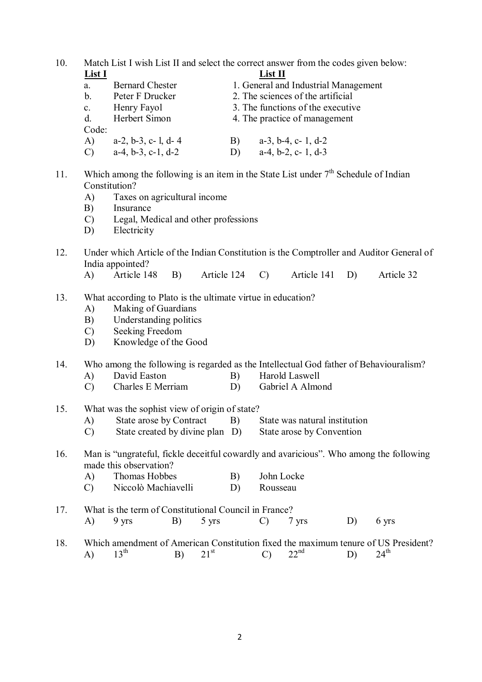10. Match List I wish List II and select the correct answer from the codes given below:<br> $I \text{ ist } II$ **List I List II**

| LIJ 1          |                               |    | елус 11                              |
|----------------|-------------------------------|----|--------------------------------------|
| a.             | <b>Bernard Chester</b>        |    | 1. General and Industrial Management |
| $\mathbf b$ .  | Peter F Drucker               |    | 2. The sciences of the artificial    |
| $\mathbf{c}$ . | Henry Fayol                   |    | 3. The functions of the executive    |
| $d_{-}$        | Herbert Simon                 |    | 4. The practice of management        |
| Code:          |                               |    |                                      |
| A)             | $a-2$ , $b-3$ , $c-1$ , $d-4$ | B) | $a-3$ , $b-4$ , $c-1$ , $d-2$        |
| C)             | $a-4, b-3, c-1, d-2$          | D) | $a-4$ , $b-2$ , $c-1$ , $d-3$        |
|                |                               |    |                                      |

- 11. Which among the following is an item in the State List under  $7<sup>th</sup>$  Schedule of Indian Constitution?
	- A) Taxes on agricultural income
	- B) Insurance
	- C) Legal, Medical and other professions
	- D) Electricity
- 12. Under which Article of the Indian Constitution is the Comptroller and Auditor General of India appointed?
	- A) Article 148 B) Article 124 C) Article 141 D) Article 32
- 13. What according to Plato is the ultimate virtue in education?
	- A) Making of Guardians
	- B) Understanding politics
	- C) Seeking Freedom
	- D) Knowledge of the Good

14. Who among the following is regarded as the Intellectual God father of Behaviouralism?

- A) David Easton B) Harold Laswell<br>
C) Charles E Merriam D) Gabriel A Almond
- $\overline{C}$  Charles E Merriam D)
- 15. What was the sophist view of origin of state?
	- A) State arose by Contract B) State was natural institution
	- C) State created by divine plan D) State arose by Convention
- 16. Man is "ungrateful, fickle deceitful cowardly and avaricious". Who among the following made this observation?
	- A) Thomas Hobbes B) John Locke
	- C) Niccolò Machiavelli D) Rousseau
- 17. What is the term of Constitutional Council in France? A) 9 yrs B) 5 yrs C) 7 yrs D) 6 yrs
- 18. Which amendment of American Constitution fixed the maximum tenure of US President?<br>A)  $13^{th}$  B)  $21^{st}$  C)  $22^{nd}$  D)  $24^{th}$ A)  $13^{\text{th}}$  B)  $21^{\text{st}}$  C)  $22^{\text{nd}}$  D)  $24^{\text{th}}$  $24^{\text{th}}$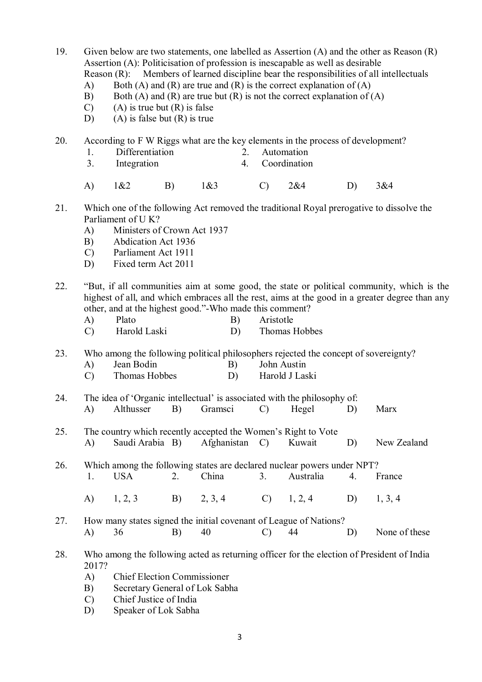19. Given below are two statements, one labelled as Assertion (A) and the other as Reason (R) Assertion (A): Politicisation of profession is inescapable as well as desirable Reason (R): Members of learned discipline bear the responsibilities of all intellectuals

- A) Both (A) and (R) are true and (R) is the correct explanation of (A)
- B) Both (A) and (R) are true but (R) is not the correct explanation of (A)
- $(C)$  (A) is true but  $(R)$  is false
- D) (A) is false but  $(R)$  is true

20. According to F W Riggs what are the key elements in the process of development?

- 1. Differentiation 2. Automation 3. Integration 4. Coordination A) 1&2 B) 1&3 C) 2&4 D) 3&4
- 21. Which one of the following Act removed the traditional Royal prerogative to dissolve the Parliament of U K?
	- A) Ministers of Crown Act 1937
	- B) Abdication Act 1936
	- C) Parliament Act 1911
	- D) Fixed term Act 2011
- 22. "But, if all communities aim at some good, the state or political community, which is the highest of all, and which embraces all the rest, aims at the good in a greater degree than any other, and at the highest good."-Who made this comment?
	- A) Plato B) Aristotle
	- C) Harold Laski D) Thomas Hobbes

23. Who among the following political philosophers rejected the concept of sovereignty?

- A) Jean Bodin B) John Austin
- C) Thomas Hobbes D) Harold J Laski
- 24. The idea of 'Organic intellectual' is associated with the philosophy of: A) Althusser B) Gramsci C) Hegel D) Marx
- 25. The country which recently accepted the Women's Right to Vote A) Saudi Arabia B) Afghanistan C) Kuwait D) New Zealand

26. Which among the following states are declared nuclear powers under NPT?<br>1 USA 2 China 3 Australia 4 F 1. USA 2. China 3. Australia 4. France

- A) 1, 2, 3 B) 2, 3, 4 C) 1, 2, 4 D) 1, 3, 4
- 27. How many states signed the initial covenant of League of Nations? A) 36 B) 40 C) 44 D) None of these
- 28. Who among the following acted as returning officer for the election of President of India 2017?
	- A) Chief Election Commissioner
	- B) Secretary General of Lok Sabha
	- C) Chief Justice of India
	- D) Speaker of Lok Sabha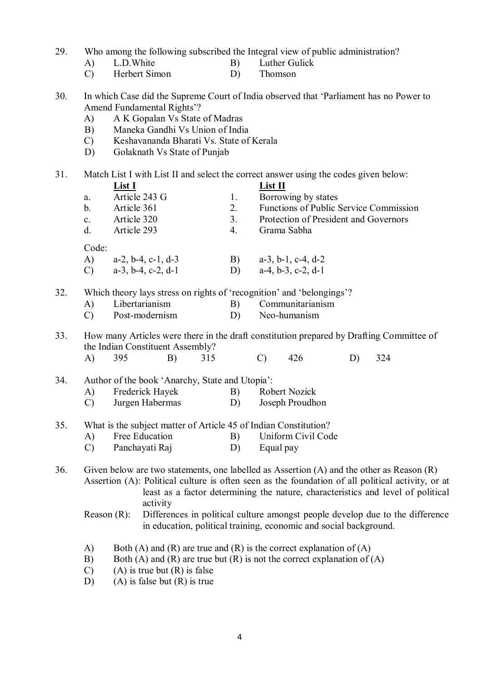29. Who among the following subscribed the Integral view of public administration?

- A) L.D.White B) Luther Gulick
	- C) Herbert Simon D) Thomson
- 30. In which Case did the Supreme Court of India observed that 'Parliament has no Power to Amend Fundamental Rights'?
	- A) A K Gopalan Vs State of Madras
	- B) Maneka Gandhi Vs Union of India
	- C) Keshavananda Bharati Vs. State of Kerala
	- D) Golaknath Vs State of Punjab

31. Match List I with List II and select the correct answer using the codes given below: **List I**<br>Article 243 G 1. Borrow a. Article 243 G 1. Borrowing by states

b. Article 361 2. Functions of Public Service Commission c. Article 320 3. Protection of President and Governors d. Article 293 4. Grama Sabha Code: A) a-2, b-4, c-1, d-3 B) a-3, b-1, c-4, d-2<br>C) a-3, b-4, c-2, d-1 D) a-4, b-3, c-2, d-1 C) a-3, b-4, c-2, d-1 D) 32. Which theory lays stress on rights of 'recognition' and 'belongings'? A) Libertarianism B) Communitarianism C) Post-modernism D) Neo-humanism

33. How many Articles were there in the draft constitution prepared by Drafting Committee of the Indian Constituent Assembly? A) 395 B) 315 C) 426 D) 324

- 34. Author of the book 'Anarchy, State and Utopia':<br>A) Frederick Hayek B) Robert Nozick A) Frederick Hayek B)
	- C) Jurgen Habermas D) Joseph Proudhon
- 35. What is the subject matter of Article 45 of Indian Constitution?
	- A) Free Education B) Uniform Civil Code
	- C) Panchayati Raj D) Equal pay
- 36. Given below are two statements, one labelled as Assertion (A) and the other as Reason (R) Assertion (A): Political culture is often seen as the foundation of all political activity, or at least as a factor determining the nature, characteristics and level of political activity
	- Reason (R): Differences in political culture amongst people develop due to the difference in education, political training, economic and social background.
	- A) Both (A) and (R) are true and (R) is the correct explanation of (A)
	- B) Both (A) and (R) are true but (R) is not the correct explanation of (A)
	- $(C)$  (A) is true but  $(R)$  is false
	- D) (A) is false but  $(R)$  is true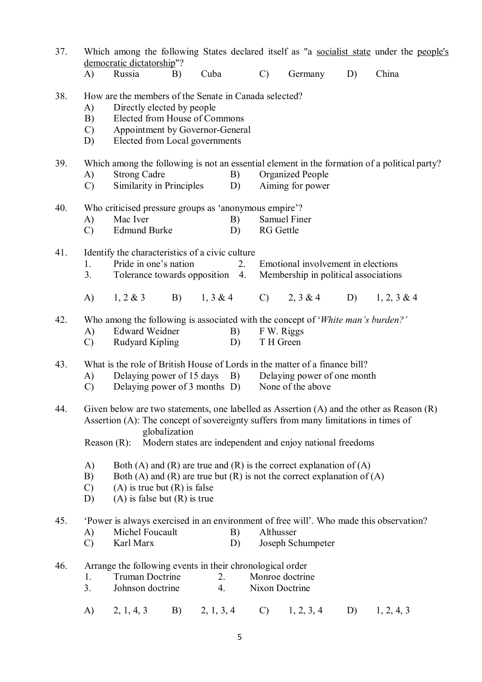| 37. |                                                                                                                                                                                                                              | democratic dictatorship"?                                                                                                                                          |                                                                                                             |            |          |                  | Which among the following States declared itself as "a socialist state under the people's                                                                                                                                                         |    |                |  |
|-----|------------------------------------------------------------------------------------------------------------------------------------------------------------------------------------------------------------------------------|--------------------------------------------------------------------------------------------------------------------------------------------------------------------|-------------------------------------------------------------------------------------------------------------|------------|----------|------------------|---------------------------------------------------------------------------------------------------------------------------------------------------------------------------------------------------------------------------------------------------|----|----------------|--|
|     | A)                                                                                                                                                                                                                           | Russia                                                                                                                                                             | B)                                                                                                          | Cuba       |          | $\mathcal{C}$    | Germany                                                                                                                                                                                                                                           | D) | China          |  |
| 38. | How are the members of the Senate in Canada selected?<br>Directly elected by people<br>A)<br>Elected from House of Commons<br>B)<br>Appointment by Governor-General<br>$\mathcal{C}$<br>Elected from Local governments<br>D) |                                                                                                                                                                    |                                                                                                             |            |          |                  |                                                                                                                                                                                                                                                   |    |                |  |
| 39. | A)<br>$\mathcal{C}$                                                                                                                                                                                                          | <b>Strong Cadre</b>                                                                                                                                                | Similarity in Principles                                                                                    |            | B)<br>D) |                  | Which among the following is not an essential element in the formation of a political party?<br>Organized People<br>Aiming for power                                                                                                              |    |                |  |
| 40. |                                                                                                                                                                                                                              |                                                                                                                                                                    | Who criticised pressure groups as 'anonymous empire'?                                                       |            |          |                  |                                                                                                                                                                                                                                                   |    |                |  |
|     | A)<br>$\mathcal{C}$                                                                                                                                                                                                          | Mac Iver<br><b>Edmund Burke</b>                                                                                                                                    |                                                                                                             |            | B)<br>D) | <b>RG</b> Gettle | <b>Samuel Finer</b>                                                                                                                                                                                                                               |    |                |  |
| 41. | 1.<br>3.                                                                                                                                                                                                                     |                                                                                                                                                                    | Identify the characteristics of a civic culture<br>Pride in one's nation<br>Tolerance towards opposition 4. |            | 2.       |                  | Emotional involvement in elections<br>Membership in political associations                                                                                                                                                                        |    |                |  |
|     | A)                                                                                                                                                                                                                           | $1, 2 \& 3$                                                                                                                                                        | <b>B</b> )                                                                                                  |            |          |                  | $1, 3 \& 4$ C) $2, 3 \& 4$ D)                                                                                                                                                                                                                     |    | $1, 2, 3 \& 4$ |  |
| 42. | A)<br>$\mathcal{C}$                                                                                                                                                                                                          | Who among the following is associated with the concept of 'White man's burden?'<br><b>Edward Weidner</b><br>B)<br>F W. Riggs<br>Rudyard Kipling<br>T H Green<br>D) |                                                                                                             |            |          |                  |                                                                                                                                                                                                                                                   |    |                |  |
| 43. | A)<br>$\mathcal{C}$                                                                                                                                                                                                          |                                                                                                                                                                    | Delaying power of 15 days B)                                                                                |            |          |                  | What is the role of British House of Lords in the matter of a finance bill?<br>Delaying power of one month<br>Delaying power of 3 months D) None of the above                                                                                     |    |                |  |
| 44. | Reason $(R)$ :                                                                                                                                                                                                               |                                                                                                                                                                    | globalization                                                                                               |            |          |                  | Given below are two statements, one labelled as Assertion $(A)$ and the other as Reason $(R)$<br>Assertion (A): The concept of sovereignty suffers from many limitations in times of<br>Modern states are independent and enjoy national freedoms |    |                |  |
|     | $\mathbf{A}$<br>B)<br>$\mathcal{C}$<br>D)                                                                                                                                                                                    |                                                                                                                                                                    | $(A)$ is true but $(R)$ is false<br>$(A)$ is false but $(R)$ is true                                        |            |          |                  | Both (A) and (R) are true and (R) is the correct explanation of (A)<br>Both (A) and (R) are true but (R) is not the correct explanation of (A)                                                                                                    |    |                |  |
| 45. | A)<br>$\mathcal{C}$                                                                                                                                                                                                          | Michel Foucault<br>Karl Marx                                                                                                                                       |                                                                                                             |            | B)<br>D) | Althusser        | 'Power is always exercised in an environment of free will'. Who made this observation?<br>Joseph Schumpeter                                                                                                                                       |    |                |  |
| 46. | 1.<br>3.                                                                                                                                                                                                                     | <b>Truman Doctrine</b><br>Johnson doctrine                                                                                                                         | Arrange the following events in their chronological order                                                   | 2.<br>4.   |          | Nixon Doctrine   | Monroe doctrine                                                                                                                                                                                                                                   |    |                |  |
|     | A)                                                                                                                                                                                                                           | 2, 1, 4, 3                                                                                                                                                         | B)                                                                                                          | 2, 1, 3, 4 |          | $\mathcal{C}$    | 1, 2, 3, 4                                                                                                                                                                                                                                        | D) | 1, 2, 4, 3     |  |

5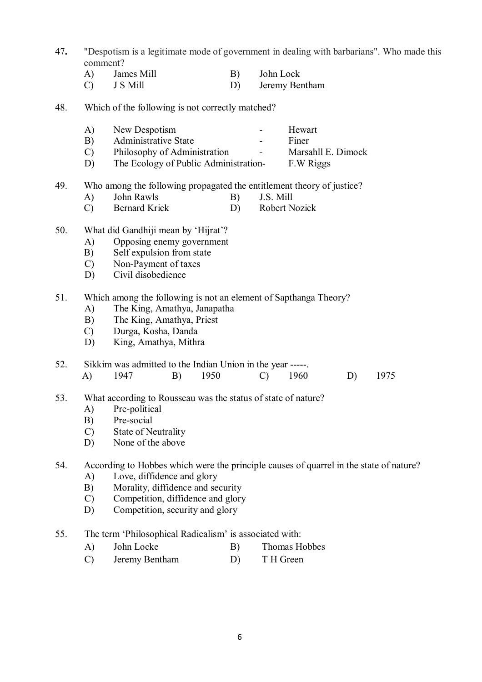- 47**.** "Despotism is a legitimate mode of government in dealing with barbarians". Who made this comment?
	- A) James Mill B) John Lock
	- C) J S Mill D) Jeremy Bentham
- 48. Which of the following is not correctly matched?
	- A) New Despotism Hewart
	- B) Administrative State Finer
	- C) Philosophy of Administration Marsahll E. Dimock
	- D) The Ecology of Public Administration- F.W Riggs
- 49. Who among the following propagated the entitlement theory of justice?
	- A) John Rawls B) J.S. Mill
	- C) Bernard Krick D) Robert Nozick
- 50. What did Gandhiji mean by 'Hijrat'?
	- A) Opposing enemy government
	- B) Self expulsion from state<br>C) Non-Payment of taxes
	- Non-Payment of taxes
	- D) Civil disobedience
- 51. Which among the following is not an element of Sapthanga Theory?
	- A) The King, Amathya, Janapatha
	- B) The King, Amathya, Priest
	- C) Durga, Kosha, Danda
	- D) King, Amathya, Mithra

### 52. Sikkim was admitted to the Indian Union in the year -----. A) 1947 B) 1950 C) 1960 D) 1975

- 53. What according to Rousseau was the status of state of nature?
	- A) Pre-political
	-
	- B) Pre-social<br>C) State of N **State of Neutrality**
	- D) None of the above

# 54. According to Hobbes which were the principle causes of quarrel in the state of nature?

- A) Love, diffidence and glory
- B) Morality, diffidence and security
- C) Competition, diffidence and glory
- D) Competition, security and glory
- 55. The term 'Philosophical Radicalism' is associated with:
	- A) John Locke B) Thomas Hobbes
	- C) Jeremy Bentham D) T H Green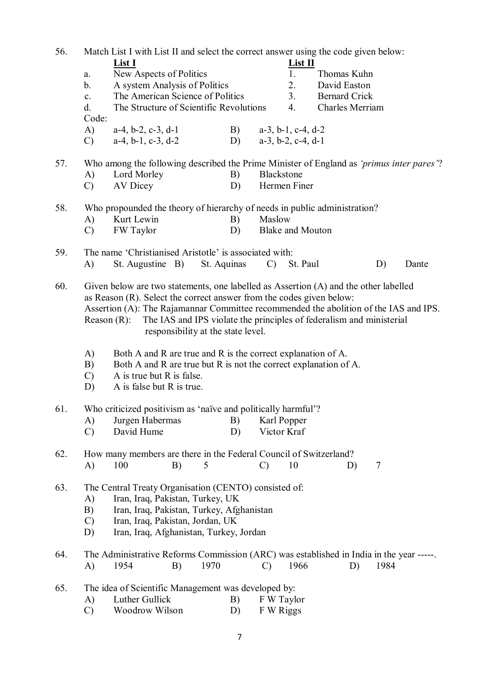| 56. |                                                                                                                                                                                                                                                                                                                                                                                       | Match List I with List II and select the correct answer using the code given below:                                                                                                        |             |                               |                      |      |       |  |  |  |
|-----|---------------------------------------------------------------------------------------------------------------------------------------------------------------------------------------------------------------------------------------------------------------------------------------------------------------------------------------------------------------------------------------|--------------------------------------------------------------------------------------------------------------------------------------------------------------------------------------------|-------------|-------------------------------|----------------------|------|-------|--|--|--|
|     |                                                                                                                                                                                                                                                                                                                                                                                       | List I                                                                                                                                                                                     |             | List II                       |                      |      |       |  |  |  |
|     | a.                                                                                                                                                                                                                                                                                                                                                                                    | New Aspects of Politics                                                                                                                                                                    |             | 1.                            | Thomas Kuhn          |      |       |  |  |  |
|     | b.                                                                                                                                                                                                                                                                                                                                                                                    | A system Analysis of Politics                                                                                                                                                              |             | 2.                            | David Easton         |      |       |  |  |  |
|     | $\mathbf{c}$ .                                                                                                                                                                                                                                                                                                                                                                        | The American Science of Politics                                                                                                                                                           |             | 3 <sub>1</sub>                | <b>Bernard Crick</b> |      |       |  |  |  |
|     | d.                                                                                                                                                                                                                                                                                                                                                                                    | The Structure of Scientific Revolutions                                                                                                                                                    |             | 4.                            | Charles Merriam      |      |       |  |  |  |
|     | Code:                                                                                                                                                                                                                                                                                                                                                                                 |                                                                                                                                                                                            |             |                               |                      |      |       |  |  |  |
|     | A)                                                                                                                                                                                                                                                                                                                                                                                    | $a-4$ , $b-2$ , $c-3$ , $d-1$                                                                                                                                                              | B)          | $a-3$ , $b-1$ , $c-4$ , $d-2$ |                      |      |       |  |  |  |
|     | $\mathcal{C}$                                                                                                                                                                                                                                                                                                                                                                         | $a-4$ , $b-1$ , $c-3$ , $d-2$                                                                                                                                                              | D)          | $a-3$ , $b-2$ , $c-4$ , $d-1$ |                      |      |       |  |  |  |
| 57. |                                                                                                                                                                                                                                                                                                                                                                                       | Who among the following described the Prime Minister of England as 'primus inter pares'?                                                                                                   |             |                               |                      |      |       |  |  |  |
|     | A)                                                                                                                                                                                                                                                                                                                                                                                    | Lord Morley                                                                                                                                                                                | B)          | <b>Blackstone</b>             |                      |      |       |  |  |  |
|     | $\mathcal{C}$                                                                                                                                                                                                                                                                                                                                                                         | <b>AV Dicey</b>                                                                                                                                                                            | D)          | Hermen Finer                  |                      |      |       |  |  |  |
| 58. |                                                                                                                                                                                                                                                                                                                                                                                       | Who propounded the theory of hierarchy of needs in public administration?                                                                                                                  |             |                               |                      |      |       |  |  |  |
|     | A)                                                                                                                                                                                                                                                                                                                                                                                    | Kurt Lewin                                                                                                                                                                                 | B)          | Maslow                        |                      |      |       |  |  |  |
|     | $\mathcal{C}$                                                                                                                                                                                                                                                                                                                                                                         | FW Taylor                                                                                                                                                                                  | D)          | <b>Blake and Mouton</b>       |                      |      |       |  |  |  |
| 59. |                                                                                                                                                                                                                                                                                                                                                                                       | The name 'Christianised Aristotle' is associated with:                                                                                                                                     |             |                               |                      |      |       |  |  |  |
|     | A)                                                                                                                                                                                                                                                                                                                                                                                    | St. Augustine B)                                                                                                                                                                           | St. Aquinas | $\mathcal{C}$ )               | St. Paul             | D)   | Dante |  |  |  |
|     |                                                                                                                                                                                                                                                                                                                                                                                       |                                                                                                                                                                                            |             |                               |                      |      |       |  |  |  |
| 60. | Given below are two statements, one labelled as Assertion (A) and the other labelled<br>as Reason (R). Select the correct answer from the codes given below:<br>Assertion (A): The Rajamannar Committee recommended the abolition of the IAS and IPS.<br>The IAS and IPS violate the principles of federalism and ministerial<br>Reason $(R)$ :<br>responsibility at the state level. |                                                                                                                                                                                            |             |                               |                      |      |       |  |  |  |
|     | A)<br>B)<br>$\mathcal{C}$<br>D)                                                                                                                                                                                                                                                                                                                                                       | Both A and R are true and R is the correct explanation of A.<br>Both A and R are true but R is not the correct explanation of A.<br>A is true but R is false.<br>A is false but R is true. |             |                               |                      |      |       |  |  |  |
| 61. | Who criticized positivism as 'naïve and politically harmful'?                                                                                                                                                                                                                                                                                                                         |                                                                                                                                                                                            |             |                               |                      |      |       |  |  |  |
|     | A)                                                                                                                                                                                                                                                                                                                                                                                    | Jurgen Habermas                                                                                                                                                                            | B)          | Karl Popper                   |                      |      |       |  |  |  |
|     | $\mathcal{C}$                                                                                                                                                                                                                                                                                                                                                                         | David Hume                                                                                                                                                                                 | D)          | Victor Kraf                   |                      |      |       |  |  |  |
| 62. | A)                                                                                                                                                                                                                                                                                                                                                                                    | How many members are there in the Federal Council of Switzerland?<br>100<br>B)                                                                                                             | 5           | 10<br>$\mathcal{C}$           | D)                   | 7    |       |  |  |  |
| 63. | The Central Treaty Organisation (CENTO) consisted of:<br>Iran, Iraq, Pakistan, Turkey, UK<br>A)<br>Iran, Iraq, Pakistan, Turkey, Afghanistan<br>B)<br>Iran, Iraq, Pakistan, Jordan, UK<br>$\mathcal{C}$<br>Iran, Iraq, Afghanistan, Turkey, Jordan<br>D)                                                                                                                              |                                                                                                                                                                                            |             |                               |                      |      |       |  |  |  |
| 64. | A)                                                                                                                                                                                                                                                                                                                                                                                    | The Administrative Reforms Commission (ARC) was established in India in the year -----.<br>1954<br>B)                                                                                      | 1970        | 1966<br>$\mathcal{C}$         | D)                   | 1984 |       |  |  |  |
| 65. | A)<br>$\mathcal{C}$                                                                                                                                                                                                                                                                                                                                                                   | The idea of Scientific Management was developed by:<br>Luther Gullick<br>Woodrow Wilson                                                                                                    | B)<br>D)    | F W Taylor<br>F W Riggs       |                      |      |       |  |  |  |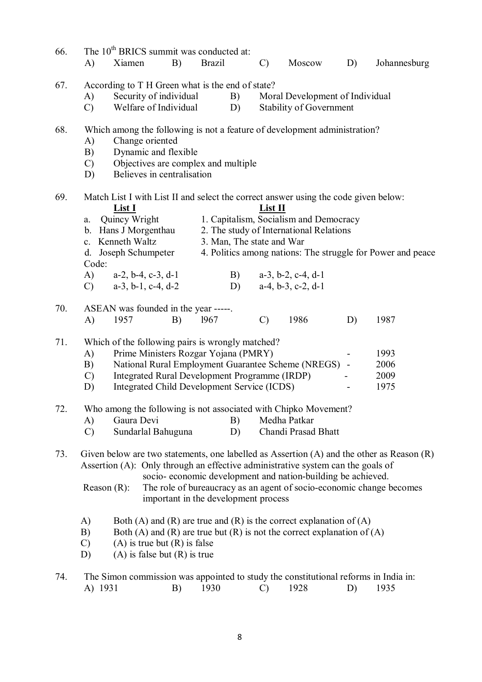| 66. |                                                                           |                                                                                     | The 10 <sup>th</sup> BRICS summit was conducted at: |    |                                                      |    |                           |                                                                                     |                          |                                                                                               |  |
|-----|---------------------------------------------------------------------------|-------------------------------------------------------------------------------------|-----------------------------------------------------|----|------------------------------------------------------|----|---------------------------|-------------------------------------------------------------------------------------|--------------------------|-----------------------------------------------------------------------------------------------|--|
|     | A)                                                                        | Xiamen                                                                              |                                                     | B) | <b>Brazil</b>                                        |    | $\mathcal{C}$             | Moscow                                                                              | D)                       | Johannesburg                                                                                  |  |
| 67. |                                                                           |                                                                                     | According to T H Green what is the end of state?    |    |                                                      |    |                           |                                                                                     |                          |                                                                                               |  |
|     | A)                                                                        | Security of individual<br>Moral Development of Individual<br>B)                     |                                                     |    |                                                      |    |                           |                                                                                     |                          |                                                                                               |  |
|     | $\mathcal{C}$                                                             |                                                                                     | Welfare of Individual                               |    |                                                      | D) |                           | Stability of Government                                                             |                          |                                                                                               |  |
| 68. | Which among the following is not a feature of development administration? |                                                                                     |                                                     |    |                                                      |    |                           |                                                                                     |                          |                                                                                               |  |
|     | A)                                                                        |                                                                                     | Change oriented                                     |    |                                                      |    |                           |                                                                                     |                          |                                                                                               |  |
|     | B)                                                                        |                                                                                     | Dynamic and flexible                                |    |                                                      |    |                           |                                                                                     |                          |                                                                                               |  |
|     | $\mathcal{C}$                                                             | Objectives are complex and multiple                                                 |                                                     |    |                                                      |    |                           |                                                                                     |                          |                                                                                               |  |
|     |                                                                           | Believes in centralisation<br>D)                                                    |                                                     |    |                                                      |    |                           |                                                                                     |                          |                                                                                               |  |
| 69. |                                                                           | Match List I with List II and select the correct answer using the code given below: |                                                     |    |                                                      |    |                           |                                                                                     |                          |                                                                                               |  |
|     |                                                                           | <u>List I</u>                                                                       |                                                     |    |                                                      |    | List II                   |                                                                                     |                          |                                                                                               |  |
|     | a.                                                                        | Quincy Wright                                                                       |                                                     |    |                                                      |    |                           | 1. Capitalism, Socialism and Democracy                                              |                          |                                                                                               |  |
|     |                                                                           |                                                                                     | b. Hans J Morgenthau                                |    |                                                      |    |                           | 2. The study of International Relations                                             |                          |                                                                                               |  |
|     |                                                                           | c. Kenneth Waltz                                                                    |                                                     |    |                                                      |    | 3. Man, The state and War |                                                                                     |                          |                                                                                               |  |
|     | Code:                                                                     |                                                                                     | d. Joseph Schumpeter                                |    |                                                      |    |                           |                                                                                     |                          | 4. Politics among nations: The struggle for Power and peace                                   |  |
|     | A)                                                                        |                                                                                     | $a-2$ , $b-4$ , $c-3$ , $d-1$                       |    |                                                      | B) |                           | $a-3$ , $b-2$ , $c-4$ , $d-1$                                                       |                          |                                                                                               |  |
|     | $\mathcal{C}$                                                             |                                                                                     | $a-3$ , $b-1$ , $c-4$ , $d-2$                       |    |                                                      | D) |                           | $a-4$ , $b-3$ , $c-2$ , $d-1$                                                       |                          |                                                                                               |  |
| 70. |                                                                           |                                                                                     | ASEAN was founded in the year -----.                |    |                                                      |    |                           |                                                                                     |                          |                                                                                               |  |
|     | A)                                                                        | 1957                                                                                |                                                     | B) | 1967                                                 |    | $\mathcal{C}$             | 1986                                                                                | D)                       | 1987                                                                                          |  |
| 71. |                                                                           |                                                                                     | Which of the following pairs is wrongly matched?    |    |                                                      |    |                           |                                                                                     |                          |                                                                                               |  |
|     | A)                                                                        |                                                                                     | Prime Ministers Rozgar Yojana (PMRY)                |    |                                                      |    |                           |                                                                                     |                          | 1993                                                                                          |  |
|     | B)                                                                        |                                                                                     |                                                     |    | National Rural Employment Guarantee Scheme (NREGS) - |    |                           |                                                                                     |                          | 2006                                                                                          |  |
|     | $\mathcal{C}$                                                             |                                                                                     | Integrated Rural Development Programme (IRDP)       |    |                                                      |    |                           |                                                                                     | $\overline{\phantom{a}}$ | 2009                                                                                          |  |
|     | D)                                                                        |                                                                                     | Integrated Child Development Service (ICDS)         |    |                                                      |    |                           |                                                                                     |                          | 1975                                                                                          |  |
| 72. |                                                                           |                                                                                     |                                                     |    |                                                      |    |                           | Who among the following is not associated with Chipko Movement?                     |                          |                                                                                               |  |
|     | A)                                                                        | Gaura Devi                                                                          |                                                     |    |                                                      | B) |                           | Medha Patkar                                                                        |                          |                                                                                               |  |
|     | $\mathcal{C}$                                                             |                                                                                     | Sundarlal Bahuguna                                  |    |                                                      | D) |                           | Chandi Prasad Bhatt                                                                 |                          |                                                                                               |  |
| 73. |                                                                           |                                                                                     |                                                     |    |                                                      |    |                           |                                                                                     |                          | Given below are two statements, one labelled as Assertion $(A)$ and the other as Reason $(R)$ |  |
|     |                                                                           |                                                                                     |                                                     |    |                                                      |    |                           | Assertion (A): Only through an effective administrative system can the goals of     |                          |                                                                                               |  |
|     |                                                                           |                                                                                     |                                                     |    |                                                      |    |                           | socio-economic development and nation-building be achieved.                         |                          |                                                                                               |  |
|     | Reason $(R)$ :                                                            |                                                                                     |                                                     |    |                                                      |    |                           |                                                                                     |                          | The role of bureaucracy as an agent of socio-economic change becomes                          |  |
|     |                                                                           |                                                                                     | important in the development process                |    |                                                      |    |                           |                                                                                     |                          |                                                                                               |  |
|     | A)                                                                        |                                                                                     |                                                     |    |                                                      |    |                           | Both (A) and (R) are true and (R) is the correct explanation of (A)                 |                          |                                                                                               |  |
|     | B)                                                                        |                                                                                     |                                                     |    |                                                      |    |                           | Both (A) and (R) are true but (R) is not the correct explanation of (A)             |                          |                                                                                               |  |
|     | $\mathcal{C}$                                                             |                                                                                     | $(A)$ is true but $(R)$ is false                    |    |                                                      |    |                           |                                                                                     |                          |                                                                                               |  |
|     | D)                                                                        |                                                                                     | $(A)$ is false but $(R)$ is true                    |    |                                                      |    |                           |                                                                                     |                          |                                                                                               |  |
| 74. |                                                                           |                                                                                     |                                                     |    |                                                      |    |                           | The Simon commission was appointed to study the constitutional reforms in India in: |                          |                                                                                               |  |
|     | A) 1931                                                                   |                                                                                     |                                                     | B) | 1930                                                 |    | $\mathcal{C}$             | 1928                                                                                | D)                       | 1935                                                                                          |  |
|     |                                                                           |                                                                                     |                                                     |    |                                                      |    |                           |                                                                                     |                          |                                                                                               |  |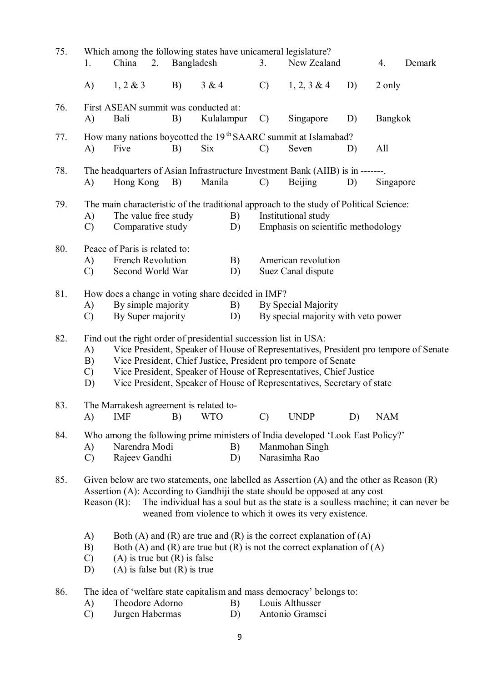| 75. | 1.                                                                                                                                                                                                                                                                                                                                                                                                             | Which among the following states have unicameral legislature?<br>China<br>2.                                     | Bangladesh |            |          | 3.            | New Zealand                     |    | 4.         | Demark |
|-----|----------------------------------------------------------------------------------------------------------------------------------------------------------------------------------------------------------------------------------------------------------------------------------------------------------------------------------------------------------------------------------------------------------------|------------------------------------------------------------------------------------------------------------------|------------|------------|----------|---------------|---------------------------------|----|------------|--------|
|     | A)                                                                                                                                                                                                                                                                                                                                                                                                             | 1, 2 & 3                                                                                                         | B)         | 3 & 4      |          | $\mathcal{C}$ | $1, 2, 3 \& 4$                  | D) | 2 only     |        |
| 76. | A)                                                                                                                                                                                                                                                                                                                                                                                                             | First ASEAN summit was conducted at:<br>Bali                                                                     | B)         | Kulalampur |          | $\mathcal{C}$ | Singapore                       | D) | Bangkok    |        |
| 77. | A)                                                                                                                                                                                                                                                                                                                                                                                                             | How many nations boycotted the 19 <sup>th</sup> SAARC summit at Islamabad?<br>Five                               | B)         | Six        |          | $\mathcal{C}$ | Seven                           | D) | All        |        |
| 78. | A)                                                                                                                                                                                                                                                                                                                                                                                                             | The headquarters of Asian Infrastructure Investment Bank (AIIB) is in -------<br>Hong Kong                       | B)         | Manila     |          | $\mathcal{C}$ | <b>Beijing</b>                  | D) | Singapore  |        |
| 79. | The main characteristic of the traditional approach to the study of Political Science:<br>The value free study<br>Institutional study<br>A)<br>B)<br>Emphasis on scientific methodology<br>Comparative study<br>D)<br>$\mathcal{C}$                                                                                                                                                                            |                                                                                                                  |            |            |          |               |                                 |    |            |        |
| 80. | Peace of Paris is related to:<br>French Revolution<br>American revolution<br>A)<br>B)<br>$\mathcal{C}$<br>Second World War<br>Suez Canal dispute<br>D)                                                                                                                                                                                                                                                         |                                                                                                                  |            |            |          |               |                                 |    |            |        |
| 81. | How does a change in voting share decided in IMF?<br>By simple majority<br>By Special Majority<br>A)<br>B)<br>By Super majority<br>By special majority with veto power<br>$\mathcal{C}$<br>D)                                                                                                                                                                                                                  |                                                                                                                  |            |            |          |               |                                 |    |            |        |
| 82. | Find out the right order of presidential succession list in USA:<br>Vice President, Speaker of House of Representatives, President pro tempore of Senate<br>A)<br>Vice President, Chief Justice, President pro tempore of Senate<br>B)<br>Vice President, Speaker of House of Representatives, Chief Justice<br>$\mathcal{C}$<br>Vice President, Speaker of House of Representatives, Secretary of state<br>D) |                                                                                                                  |            |            |          |               |                                 |    |            |        |
| 83. | A)                                                                                                                                                                                                                                                                                                                                                                                                             | The Marrakesh agreement is related to-<br><b>IMF</b>                                                             | B)         | <b>WTO</b> |          | $\mathcal{C}$ | <b>UNDP</b>                     | D) | <b>NAM</b> |        |
| 84. | A)<br>$\mathcal{C}$                                                                                                                                                                                                                                                                                                                                                                                            | Who among the following prime ministers of India developed 'Look East Policy?'<br>Narendra Modi<br>Rajeev Gandhi |            |            | B)<br>D) |               | Manmohan Singh<br>Narasimha Rao |    |            |        |
| 85. | Given below are two statements, one labelled as Assertion $(A)$ and the other as Reason $(R)$<br>Assertion (A): According to Gandhiji the state should be opposed at any cost<br>The individual has a soul but as the state is a soulless machine; it can never be<br>Reason $(R)$ :<br>weaned from violence to which it owes its very existence.                                                              |                                                                                                                  |            |            |          |               |                                 |    |            |        |
|     | A)<br>Both (A) and (R) are true and (R) is the correct explanation of (A)<br>B)<br>Both (A) and (R) are true but (R) is not the correct explanation of (A)<br>$(A)$ is true but $(R)$ is false<br>$\mathcal{C}$<br>$(A)$ is false but $(R)$ is true<br>D)                                                                                                                                                      |                                                                                                                  |            |            |          |               |                                 |    |            |        |
| 86. |                                                                                                                                                                                                                                                                                                                                                                                                                | The idea of 'welfare state capitalism and mass democracy' belongs to:                                            |            |            |          |               |                                 |    |            |        |

- A) Theodore Adorno B) Louis Althusser
- C) Jurgen Habermas D) Antonio Gramsci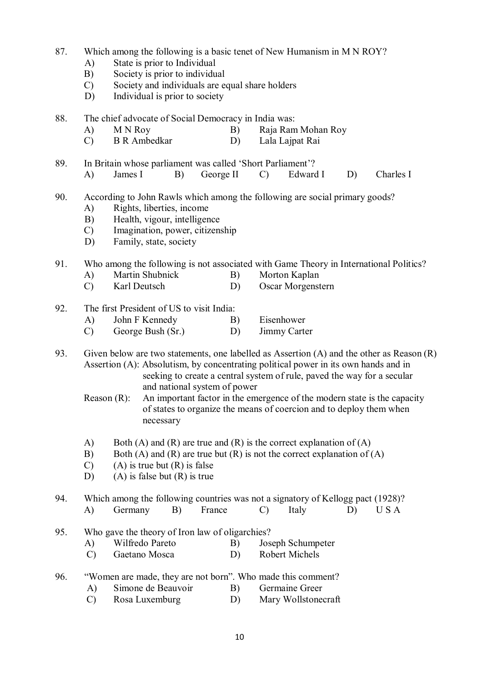#### 87. Which among the following is a basic tenet of New Humanism in M N ROY?

- A) State is prior to Individual
- B) Society is prior to individual
- C) Society and individuals are equal share holders
- D) Individual is prior to society
- 88. The chief advocate of Social Democracy in India was:
	- A) M N Roy B) Raja Ram Mohan Roy C) B R Ambedkar D) Lala Lainat Rai
	- C) B R Ambedkar D) Lala Lajpat Rai

89. In Britain whose parliament was called 'Short Parliament'?

- A) James I B) George II C) Edward I D) Charles I
- 90. According to John Rawls which among the following are social primary goods?
	- A) Rights, liberties, income
	- B) Health, vigour, intelligence
	- C) Imagination, power, citizenship
	- D) Family, state, society

# 91. Who among the following is not associated with Game Theory in International Politics?

- A) Martin Shubnick B) Morton Kaplan
- C) Karl Deutsch D) Oscar Morgenstern
- 92. The first President of US to visit India:
	- A) John F Kennedy B) Eisenhower
	- C) George Bush (Sr.) D) Jimmy Carter

93. Given below are two statements, one labelled as Assertion (A) and the other as Reason (R) Assertion (A): Absolutism, by concentrating political power in its own hands and in seeking to create a central system of rule, paved the way for a secular and national system of power

- Reason (R): An important factor in the emergence of the modern state is the capacity of states to organize the means of coercion and to deploy them when necessary
- A) Both (A) and (R) are true and (R) is the correct explanation of (A)
- B) Both (A) and (R) are true but (R) is not the correct explanation of (A)
- C) (A) is true but (R) is false<br>D) (A) is false but (R) is true
- $(A)$  is false but  $(R)$  is true

94. Which among the following countries was not a signatory of Kellogg pact (1928)?

- A) Germany B) France C) Italy D) U S A
- 95. Who gave the theory of Iron law of oligarchies?
	- A) Wilfredo Pareto B) Joseph Schumpeter
	- C) Gaetano Mosca D) Robert Michels
- 96. "Women are made, they are not born". Who made this comment?
	- A) Simone de Beauvoir B) Germaine Greer
	- C) Rosa Luxemburg D) Mary Wollstonecraft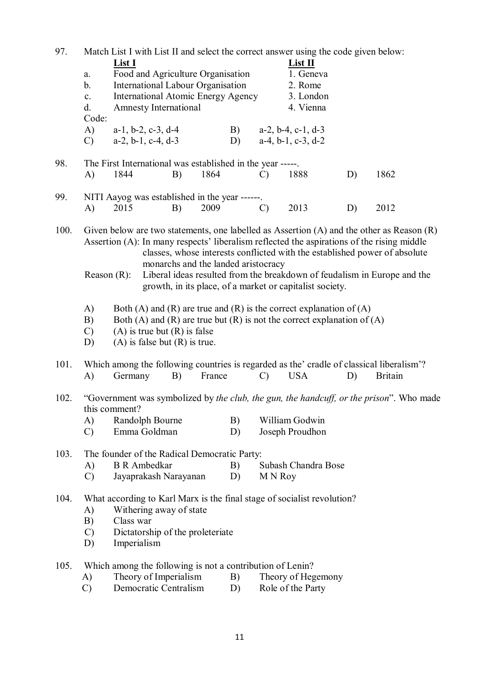| 97.                                                                 | Match List I with List II and select the correct answer using the code given below:                                                                                              |                                                            |                                     |    |               |                                                                         |                                                                          |                                                                                               |  |  |  |
|---------------------------------------------------------------------|----------------------------------------------------------------------------------------------------------------------------------------------------------------------------------|------------------------------------------------------------|-------------------------------------|----|---------------|-------------------------------------------------------------------------|--------------------------------------------------------------------------|-----------------------------------------------------------------------------------------------|--|--|--|
|                                                                     |                                                                                                                                                                                  | <b>List I</b>                                              |                                     |    | List II       |                                                                         |                                                                          |                                                                                               |  |  |  |
|                                                                     | $a$ .                                                                                                                                                                            | Food and Agriculture Organisation                          |                                     |    |               |                                                                         | 1. Geneva                                                                |                                                                                               |  |  |  |
|                                                                     | $\mathbf b$ .                                                                                                                                                                    | International Labour Organisation                          |                                     |    |               | 2. Rome                                                                 |                                                                          |                                                                                               |  |  |  |
|                                                                     | <b>International Atomic Energy Agency</b><br>$\mathbf{c}$ .                                                                                                                      |                                                            |                                     |    |               | 3. London                                                               |                                                                          |                                                                                               |  |  |  |
|                                                                     | d.                                                                                                                                                                               | <b>Amnesty International</b>                               |                                     |    |               | 4. Vienna                                                               |                                                                          |                                                                                               |  |  |  |
|                                                                     | Code:                                                                                                                                                                            |                                                            |                                     |    |               |                                                                         |                                                                          |                                                                                               |  |  |  |
|                                                                     | A)                                                                                                                                                                               | $a-1$ , $b-2$ , $c-3$ , $d-4$                              |                                     | B) |               | $a-2$ , $b-4$ , $c-1$ , $d-3$                                           |                                                                          |                                                                                               |  |  |  |
|                                                                     | $\mathcal{C}$                                                                                                                                                                    | $a-2, b-1, c-4, d-3$                                       |                                     | D) |               | $a-4$ , $b-1$ , $c-3$ , $d-2$                                           |                                                                          |                                                                                               |  |  |  |
|                                                                     |                                                                                                                                                                                  |                                                            |                                     |    |               |                                                                         |                                                                          |                                                                                               |  |  |  |
| 98.                                                                 |                                                                                                                                                                                  | The First International was established in the year -----. |                                     |    |               |                                                                         |                                                                          |                                                                                               |  |  |  |
|                                                                     | A)                                                                                                                                                                               | 1844                                                       | B)<br>1864                          |    | $\mathcal{C}$ | 1888                                                                    | D)                                                                       | 1862                                                                                          |  |  |  |
|                                                                     |                                                                                                                                                                                  |                                                            |                                     |    |               |                                                                         |                                                                          |                                                                                               |  |  |  |
| 99.                                                                 |                                                                                                                                                                                  | NITI Aayog was established in the year ------.             |                                     |    |               |                                                                         |                                                                          |                                                                                               |  |  |  |
|                                                                     | A)                                                                                                                                                                               | 2015                                                       | 2009<br>B)                          |    | $\mathcal{C}$ | 2013                                                                    | D)                                                                       | 2012                                                                                          |  |  |  |
|                                                                     |                                                                                                                                                                                  |                                                            |                                     |    |               |                                                                         |                                                                          |                                                                                               |  |  |  |
| 100.                                                                |                                                                                                                                                                                  |                                                            |                                     |    |               |                                                                         |                                                                          | Given below are two statements, one labelled as Assertion $(A)$ and the other as Reason $(R)$ |  |  |  |
|                                                                     |                                                                                                                                                                                  |                                                            |                                     |    |               |                                                                         |                                                                          | Assertion (A): In many respects' liberalism reflected the aspirations of the rising middle    |  |  |  |
|                                                                     |                                                                                                                                                                                  |                                                            |                                     |    |               |                                                                         |                                                                          |                                                                                               |  |  |  |
|                                                                     |                                                                                                                                                                                  |                                                            |                                     |    |               |                                                                         |                                                                          | classes, whose interests conflicted with the established power of absolute                    |  |  |  |
|                                                                     |                                                                                                                                                                                  |                                                            | monarchs and the landed aristocracy |    |               |                                                                         |                                                                          |                                                                                               |  |  |  |
|                                                                     |                                                                                                                                                                                  | Reason $(R)$ :                                             |                                     |    |               |                                                                         | Liberal ideas resulted from the breakdown of feudalism in Europe and the |                                                                                               |  |  |  |
|                                                                     |                                                                                                                                                                                  |                                                            |                                     |    |               | growth, in its place, of a market or capitalist society.                |                                                                          |                                                                                               |  |  |  |
| Both (A) and (R) are true and (R) is the correct explanation of (A) |                                                                                                                                                                                  |                                                            |                                     |    |               |                                                                         |                                                                          |                                                                                               |  |  |  |
|                                                                     | A)                                                                                                                                                                               |                                                            |                                     |    |               |                                                                         |                                                                          |                                                                                               |  |  |  |
|                                                                     | B)                                                                                                                                                                               |                                                            |                                     |    |               | Both (A) and (R) are true but (R) is not the correct explanation of (A) |                                                                          |                                                                                               |  |  |  |
|                                                                     | $\mathcal{C}$                                                                                                                                                                    | $(A)$ is true but $(R)$ is false                           |                                     |    |               |                                                                         |                                                                          |                                                                                               |  |  |  |
|                                                                     | D)                                                                                                                                                                               | $(A)$ is false but $(R)$ is true.                          |                                     |    |               |                                                                         |                                                                          |                                                                                               |  |  |  |
| 101.                                                                |                                                                                                                                                                                  |                                                            |                                     |    |               |                                                                         |                                                                          |                                                                                               |  |  |  |
|                                                                     | Which among the following countries is regarded as the' cradle of classical liberalism'?<br>B)<br><b>USA</b><br>A)<br>Germany<br>France<br><b>Britain</b><br>$\mathcal{C}$<br>D) |                                                            |                                     |    |               |                                                                         |                                                                          |                                                                                               |  |  |  |
|                                                                     |                                                                                                                                                                                  |                                                            |                                     |    |               |                                                                         |                                                                          |                                                                                               |  |  |  |
| 102.                                                                |                                                                                                                                                                                  |                                                            |                                     |    |               |                                                                         |                                                                          | "Government was symbolized by the club, the gun, the handcuff, or the prison". Who made       |  |  |  |
|                                                                     |                                                                                                                                                                                  | this comment?                                              |                                     |    |               |                                                                         |                                                                          |                                                                                               |  |  |  |
|                                                                     | A)                                                                                                                                                                               | Randolph Bourne                                            |                                     | B) |               | William Godwin                                                          |                                                                          |                                                                                               |  |  |  |
|                                                                     | $\mathcal{C}$                                                                                                                                                                    | Emma Goldman                                               |                                     | D) |               | Joseph Proudhon                                                         |                                                                          |                                                                                               |  |  |  |
|                                                                     |                                                                                                                                                                                  |                                                            |                                     |    |               |                                                                         |                                                                          |                                                                                               |  |  |  |
| 103.                                                                |                                                                                                                                                                                  | The founder of the Radical Democratic Party:               |                                     |    |               |                                                                         |                                                                          |                                                                                               |  |  |  |
|                                                                     | A)                                                                                                                                                                               | <b>B</b> R Ambedkar                                        |                                     | B) |               | Subash Chandra Bose                                                     |                                                                          |                                                                                               |  |  |  |
|                                                                     | $\mathcal{C}$                                                                                                                                                                    | Jayaprakash Narayanan                                      |                                     | D) | M N Roy       |                                                                         |                                                                          |                                                                                               |  |  |  |
|                                                                     |                                                                                                                                                                                  |                                                            |                                     |    |               |                                                                         |                                                                          |                                                                                               |  |  |  |
| 104.                                                                |                                                                                                                                                                                  |                                                            |                                     |    |               | What according to Karl Marx is the final stage of socialist revolution? |                                                                          |                                                                                               |  |  |  |
|                                                                     | A)                                                                                                                                                                               | Withering away of state                                    |                                     |    |               |                                                                         |                                                                          |                                                                                               |  |  |  |
|                                                                     | B)                                                                                                                                                                               | Class war                                                  |                                     |    |               |                                                                         |                                                                          |                                                                                               |  |  |  |
|                                                                     | $\mathcal{C}$                                                                                                                                                                    | Dictatorship of the proleteriate                           |                                     |    |               |                                                                         |                                                                          |                                                                                               |  |  |  |
|                                                                     | D)                                                                                                                                                                               | Imperialism                                                |                                     |    |               |                                                                         |                                                                          |                                                                                               |  |  |  |
|                                                                     |                                                                                                                                                                                  |                                                            |                                     |    |               |                                                                         |                                                                          |                                                                                               |  |  |  |
| 105.                                                                |                                                                                                                                                                                  | Which among the following is not a contribution of Lenin?  |                                     |    |               |                                                                         |                                                                          |                                                                                               |  |  |  |
|                                                                     | A)                                                                                                                                                                               | Theory of Imperialism                                      |                                     | B) |               | Theory of Hegemony                                                      |                                                                          |                                                                                               |  |  |  |
|                                                                     | $\mathcal{C}$                                                                                                                                                                    | Democratic Centralism                                      |                                     | D) |               | Role of the Party                                                       |                                                                          |                                                                                               |  |  |  |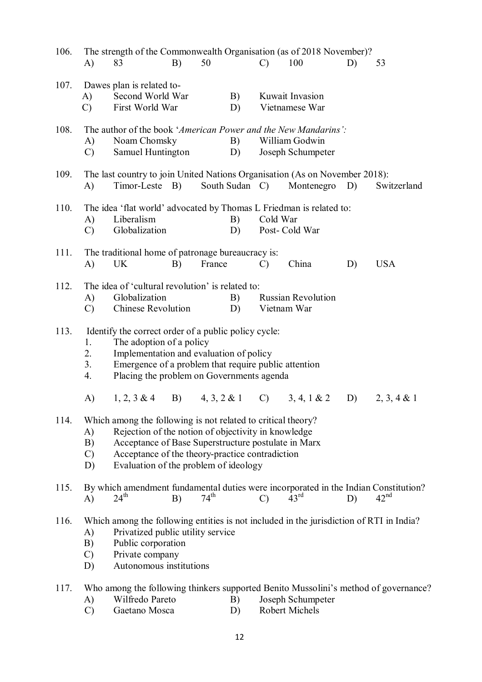| 106. | A)                              | The strength of the Commonwealth Organisation (as of 2018 November)?<br>83                                                                                                                                                                                             | B) | 50               |          | $\mathcal{C}$ | 100                                        | D) | 53                                                                                  |
|------|---------------------------------|------------------------------------------------------------------------------------------------------------------------------------------------------------------------------------------------------------------------------------------------------------------------|----|------------------|----------|---------------|--------------------------------------------|----|-------------------------------------------------------------------------------------|
| 107. | A)<br>$\mathcal{C}$             | Dawes plan is related to-<br>Second World War<br>First World War                                                                                                                                                                                                       |    |                  | B)<br>D) |               | Kuwait Invasion<br>Vietnamese War          |    |                                                                                     |
| 108. | A)<br>$\mathcal{C}$             | The author of the book 'American Power and the New Mandarins':<br>Noam Chomsky<br>Samuel Huntington                                                                                                                                                                    |    |                  | B)<br>D) |               | William Godwin<br>Joseph Schumpeter        |    |                                                                                     |
| 109. | A)                              | The last country to join United Nations Organisation (As on November 2018):<br>Timor-Leste B)                                                                                                                                                                          |    |                  |          |               | South Sudan C) Montenegro D)               |    | Switzerland                                                                         |
| 110. | A)<br>$\mathcal{C}$             | The idea 'flat world' advocated by Thomas L Friedman is related to:<br>Liberalism<br>Globalization                                                                                                                                                                     |    |                  | B)<br>D) | Cold War      | Post-Cold War                              |    |                                                                                     |
| 111. | A)                              | The traditional home of patronage bureaucracy is:<br>UK                                                                                                                                                                                                                | B) | France           |          | $\mathcal{C}$ | China                                      | D) | <b>USA</b>                                                                          |
| 112. | A)<br>$\mathcal{C}$             | The idea of 'cultural revolution' is related to:<br>Globalization<br>Chinese Revolution                                                                                                                                                                                |    |                  | B)<br>D) |               | <b>Russian Revolution</b><br>Vietnam War   |    |                                                                                     |
| 113. | 1.<br>2.<br>3.<br>4.<br>A)      | Identify the correct order of a public policy cycle:<br>The adoption of a policy<br>Implementation and evaluation of policy<br>Emergence of a problem that require public attention<br>Placing the problem on Governments agenda<br>$1, 2, 3 \& 4$ B) $4, 3, 2 \& 1$   |    |                  |          |               | C) $3, 4, 1 \& 2$ D) $2, 3, 4 \& 1$        |    |                                                                                     |
| 114. | A)<br>B)<br>$\mathcal{C}$<br>D) | Which among the following is not related to critical theory?<br>Rejection of the notion of objectivity in knowledge<br>Acceptance of Base Superstructure postulate in Marx<br>Acceptance of the theory-practice contradiction<br>Evaluation of the problem of ideology |    |                  |          |               |                                            |    |                                                                                     |
| 115. | $\mathbf{A}$                    | By which amendment fundamental duties were incorporated in the Indian Constitution?<br>$24^{\text{th}}$                                                                                                                                                                | B) | $74^{\text{th}}$ |          | $\mathcal{C}$ | $43^{\text{rd}}$                           | D) | 42 <sup>nd</sup>                                                                    |
| 116. | A)<br>B)<br>$\mathcal{C}$<br>D) | Which among the following entities is not included in the jurisdiction of RTI in India?<br>Privatized public utility service<br>Public corporation<br>Private company<br>Autonomous institutions                                                                       |    |                  |          |               |                                            |    |                                                                                     |
| 117. | A)<br>$\mathcal{C}$             | Wilfredo Pareto<br>Gaetano Mosca                                                                                                                                                                                                                                       |    |                  | B)<br>D) |               | Joseph Schumpeter<br><b>Robert Michels</b> |    | Who among the following thinkers supported Benito Mussolini's method of governance? |